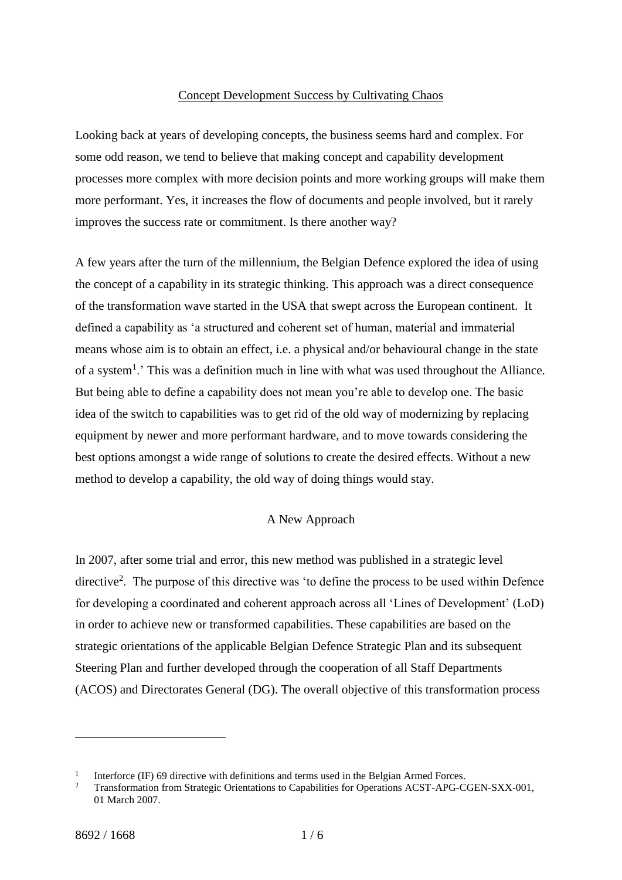#### Concept Development Success by Cultivating Chaos

Looking back at years of developing concepts, the business seems hard and complex. For some odd reason, we tend to believe that making concept and capability development processes more complex with more decision points and more working groups will make them more performant. Yes, it increases the flow of documents and people involved, but it rarely improves the success rate or commitment. Is there another way?

A few years after the turn of the millennium, the Belgian Defence explored the idea of using the concept of a capability in its strategic thinking. This approach was a direct consequence of the transformation wave started in the USA that swept across the European continent. It defined a capability as 'a structured and coherent set of human, material and immaterial means whose aim is to obtain an effect, i.e. a physical and/or behavioural change in the state of a system<sup>1</sup>.' This was a definition much in line with what was used throughout the Alliance. But being able to define a capability does not mean you're able to develop one. The basic idea of the switch to capabilities was to get rid of the old way of modernizing by replacing equipment by newer and more performant hardware, and to move towards considering the best options amongst a wide range of solutions to create the desired effects. Without a new method to develop a capability, the old way of doing things would stay.

### A New Approach

In 2007, after some trial and error, this new method was published in a strategic level directive<sup>2</sup>. The purpose of this directive was 'to define the process to be used within Defence for developing a coordinated and coherent approach across all 'Lines of Development' (LoD) in order to achieve new or transformed capabilities. These capabilities are based on the strategic orientations of the applicable Belgian Defence Strategic Plan and its subsequent Steering Plan and further developed through the cooperation of all Staff Departments (ACOS) and Directorates General (DG). The overall objective of this transformation process

<u>.</u>

<sup>1</sup> Interforce (IF) 69 directive with definitions and terms used in the Belgian Armed Forces.

<sup>&</sup>lt;sup>2</sup> Transformation from Strategic Orientations to Capabilities for Operations ACST-APG-CGEN-SXX-001, 01 March 2007.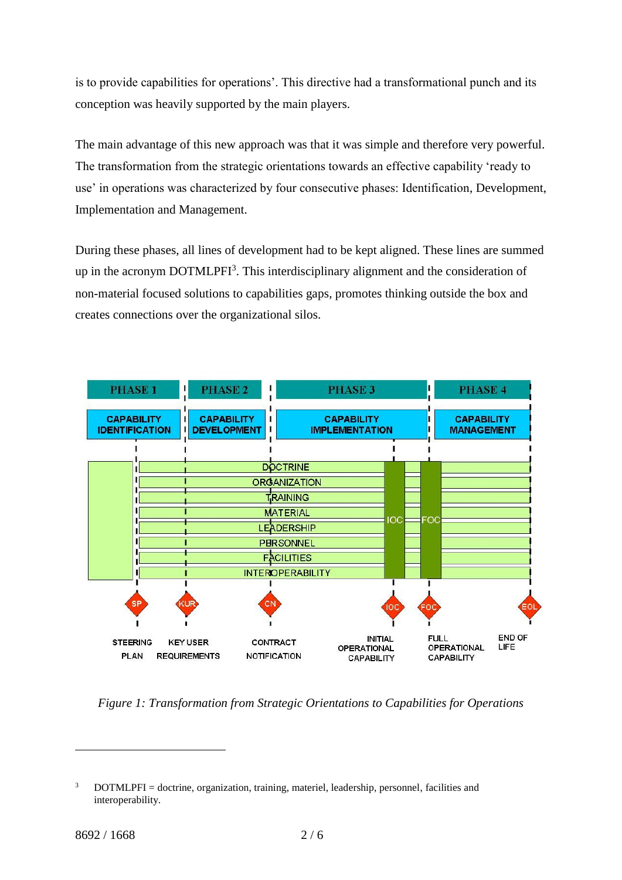is to provide capabilities for operations'. This directive had a transformational punch and its conception was heavily supported by the main players.

The main advantage of this new approach was that it was simple and therefore very powerful. The transformation from the strategic orientations towards an effective capability 'ready to use' in operations was characterized by four consecutive phases: Identification, Development, Implementation and Management.

During these phases, all lines of development had to be kept aligned. These lines are summed up in the acronym DOTMLPFI<sup>3</sup>. This interdisciplinary alignment and the consideration of non-material focused solutions to capabilities gaps, promotes thinking outside the box and creates connections over the organizational silos.



*Figure 1: Transformation from Strategic Orientations to Capabilities for Operations*

 $3$  DOTMLPFI = doctrine, organization, training, materiel, leadership, personnel, facilities and interoperability.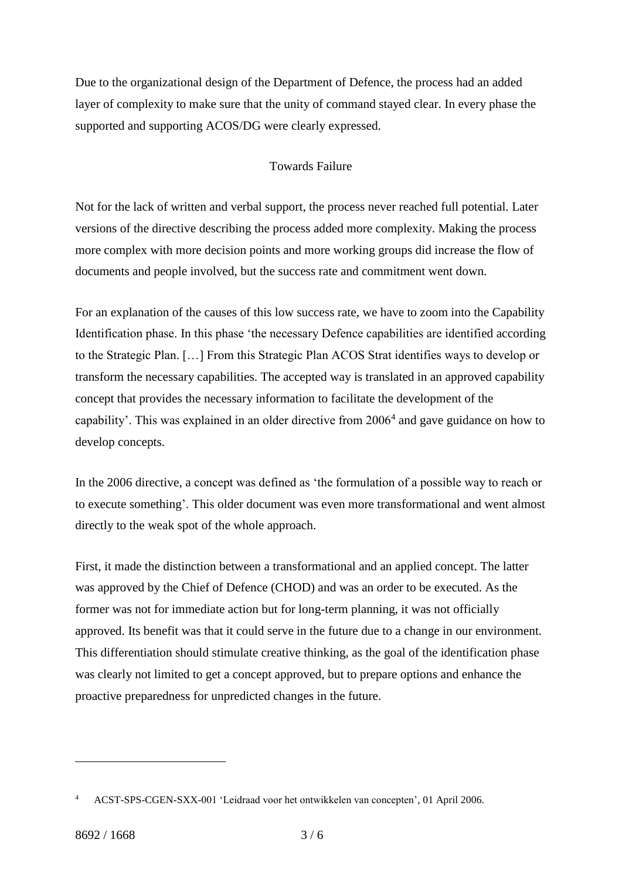Due to the organizational design of the Department of Defence, the process had an added layer of complexity to make sure that the unity of command stayed clear. In every phase the supported and supporting ACOS/DG were clearly expressed.

## Towards Failure

Not for the lack of written and verbal support, the process never reached full potential. Later versions of the directive describing the process added more complexity. Making the process more complex with more decision points and more working groups did increase the flow of documents and people involved, but the success rate and commitment went down.

For an explanation of the causes of this low success rate, we have to zoom into the Capability Identification phase. In this phase 'the necessary Defence capabilities are identified according to the Strategic Plan. […] From this Strategic Plan ACOS Strat identifies ways to develop or transform the necessary capabilities. The accepted way is translated in an approved capability concept that provides the necessary information to facilitate the development of the capability'. This was explained in an older directive from 2006<sup>4</sup> and gave guidance on how to develop concepts.

In the 2006 directive, a concept was defined as 'the formulation of a possible way to reach or to execute something'. This older document was even more transformational and went almost directly to the weak spot of the whole approach.

First, it made the distinction between a transformational and an applied concept. The latter was approved by the Chief of Defence (CHOD) and was an order to be executed. As the former was not for immediate action but for long-term planning, it was not officially approved. Its benefit was that it could serve in the future due to a change in our environment. This differentiation should stimulate creative thinking, as the goal of the identification phase was clearly not limited to get a concept approved, but to prepare options and enhance the proactive preparedness for unpredicted changes in the future.

<sup>4</sup> ACST-SPS-CGEN-SXX-001 'Leidraad voor het ontwikkelen van concepten', 01 April 2006.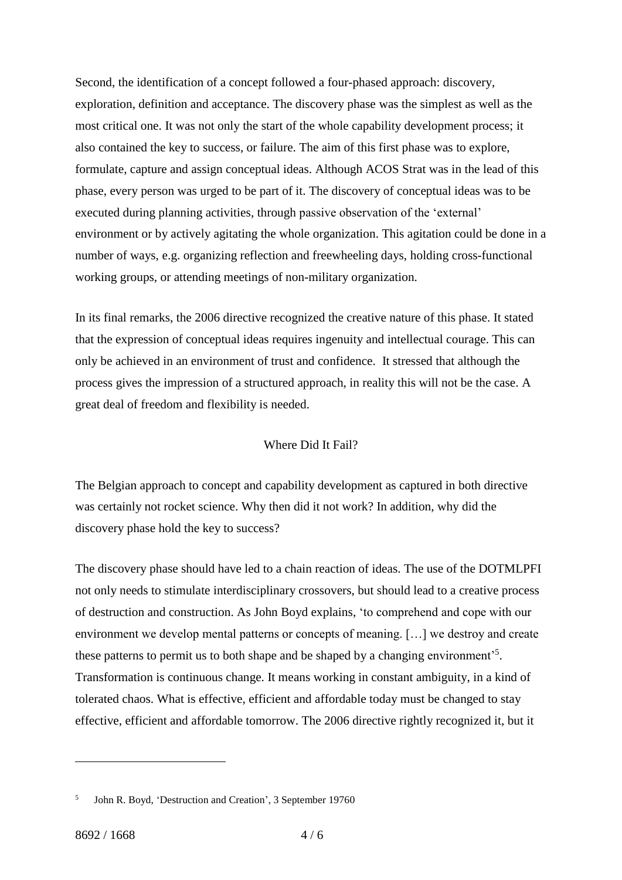Second, the identification of a concept followed a four-phased approach: discovery, exploration, definition and acceptance. The discovery phase was the simplest as well as the most critical one. It was not only the start of the whole capability development process; it also contained the key to success, or failure. The aim of this first phase was to explore, formulate, capture and assign conceptual ideas. Although ACOS Strat was in the lead of this phase, every person was urged to be part of it. The discovery of conceptual ideas was to be executed during planning activities, through passive observation of the 'external' environment or by actively agitating the whole organization. This agitation could be done in a number of ways, e.g. organizing reflection and freewheeling days, holding cross-functional working groups, or attending meetings of non-military organization.

In its final remarks, the 2006 directive recognized the creative nature of this phase. It stated that the expression of conceptual ideas requires ingenuity and intellectual courage. This can only be achieved in an environment of trust and confidence. It stressed that although the process gives the impression of a structured approach, in reality this will not be the case. A great deal of freedom and flexibility is needed.

## Where Did It Fail?

The Belgian approach to concept and capability development as captured in both directive was certainly not rocket science. Why then did it not work? In addition, why did the discovery phase hold the key to success?

The discovery phase should have led to a chain reaction of ideas. The use of the DOTMLPFI not only needs to stimulate interdisciplinary crossovers, but should lead to a creative process of destruction and construction. As John Boyd explains, 'to comprehend and cope with our environment we develop mental patterns or concepts of meaning. […] we destroy and create these patterns to permit us to both shape and be shaped by a changing environment<sup>55</sup>. Transformation is continuous change. It means working in constant ambiguity, in a kind of tolerated chaos. What is effective, efficient and affordable today must be changed to stay effective, efficient and affordable tomorrow. The 2006 directive rightly recognized it, but it

<sup>5</sup> John R. Boyd, 'Destruction and Creation', 3 September 19760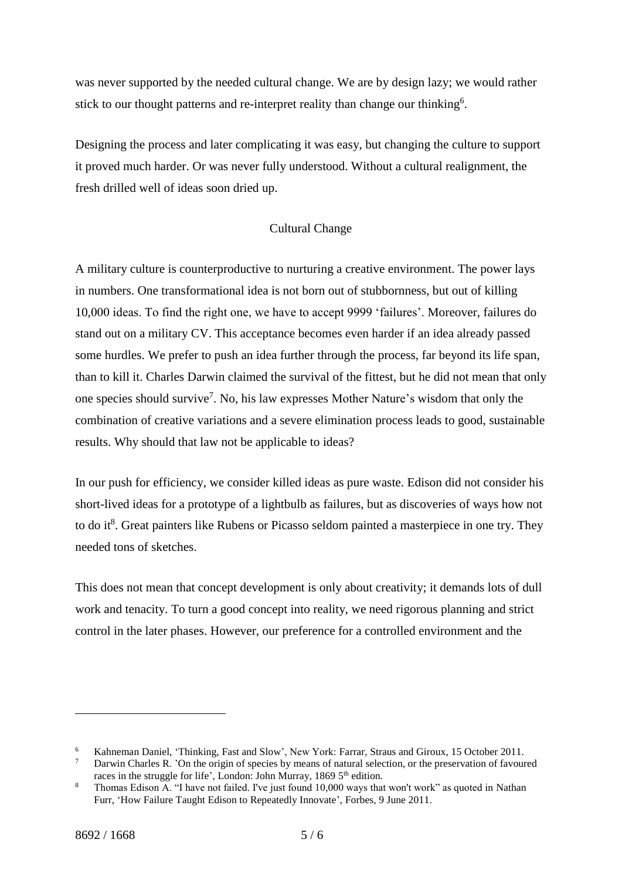was never supported by the needed cultural change. We are by design lazy; we would rather stick to our thought patterns and re-interpret reality than change our thinking<sup>6</sup>.

Designing the process and later complicating it was easy, but changing the culture to support it proved much harder. Or was never fully understood. Without a cultural realignment, the fresh drilled well of ideas soon dried up.

# Cultural Change

A military culture is counterproductive to nurturing a creative environment. The power lays in numbers. One transformational idea is not born out of stubbornness, but out of killing 10,000 ideas. To find the right one, we have to accept 9999 'failures'. Moreover, failures do stand out on a military CV. This acceptance becomes even harder if an idea already passed some hurdles. We prefer to push an idea further through the process, far beyond its life span, than to kill it. Charles Darwin claimed the survival of the fittest, but he did not mean that only one species should survive<sup>7</sup>. No, his law expresses Mother Nature's wisdom that only the combination of creative variations and a severe elimination process leads to good, sustainable results. Why should that law not be applicable to ideas?

In our push for efficiency, we consider killed ideas as pure waste. Edison did not consider his short-lived ideas for a prototype of a lightbulb as failures, but as discoveries of ways how not to do it<sup>8</sup>. Great painters like Rubens or Picasso seldom painted a masterpiece in one try. They needed tons of sketches.

This does not mean that concept development is only about creativity; it demands lots of dull work and tenacity. To turn a good concept into reality, we need rigorous planning and strict control in the later phases. However, our preference for a controlled environment and the

<sup>&</sup>lt;sup>6</sup> Kahneman Daniel, 'Thinking, Fast and Slow', New York: Farrar, Straus and Giroux, 15 October 2011.<br><sup>7</sup> Darwin Charles R. 'On the origin of species by means of natural selection, or the preservation of favour

Darwin Charles R. 'On the origin of species by means of natural selection, or the preservation of favoured races in the struggle for life', London: John Murray, 1869 5<sup>th</sup> edition.

<sup>&</sup>lt;sup>8</sup> Thomas Edison A. "I have not failed. I've just found 10,000 ways that won't work" as quoted in Nathan Furr, 'How Failure Taught Edison to Repeatedly Innovate', Forbes, 9 June 2011.